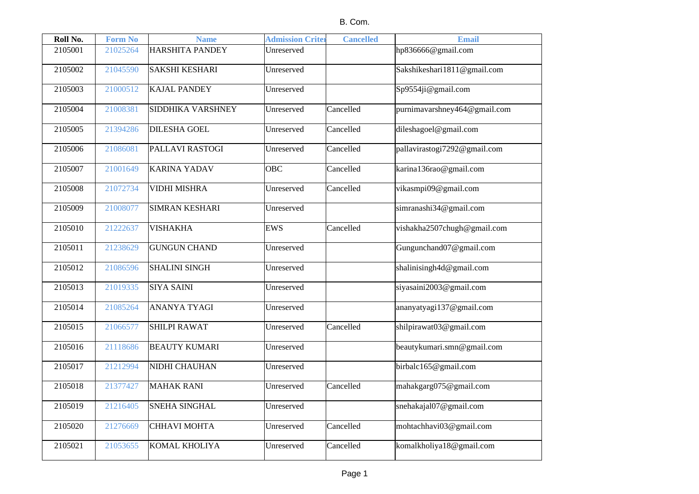| Roll No. | <b>Form No</b> | <b>Name</b>            | <b>Admission Criter</b> | <b>Cancelled</b> | <b>Email</b>                 |
|----------|----------------|------------------------|-------------------------|------------------|------------------------------|
| 2105001  | 21025264       | <b>HARSHITA PANDEY</b> | Unreserved              |                  | hp836666@gmail.com           |
| 2105002  | 21045590       | <b>SAKSHI KESHARI</b>  | Unreserved              |                  | Sakshikeshari1811@gmail.com  |
| 2105003  | 21000512       | <b>KAJAL PANDEY</b>    | Unreserved              |                  | Sp9554ji@gmail.com           |
| 2105004  | 21008381       | SIDDHIKA VARSHNEY      | Unreserved              | Cancelled        | purnimavarshney464@gmail.com |
| 2105005  | 21394286       | <b>DILESHA GOEL</b>    | Unreserved              | Cancelled        | dileshagoel@gmail.com        |
| 2105006  | 21086081       | PALLAVI RASTOGI        | Unreserved              | Cancelled        | pallavirastogi7292@gmail.com |
| 2105007  | 21001649       | <b>KARINA YADAV</b>    | <b>OBC</b>              | Cancelled        | karina136rao@gmail.com       |
| 2105008  | 21072734       | <b>VIDHI MISHRA</b>    | Unreserved              | Cancelled        | vikasmpi09@gmail.com         |
| 2105009  | 21008077       | <b>SIMRAN KESHARI</b>  | Unreserved              |                  | simranashi34@gmail.com       |
| 2105010  | 21222637       | <b>VISHAKHA</b>        | <b>EWS</b>              | Cancelled        | vishakha2507chugh@gmail.com  |
| 2105011  | 21238629       | <b>GUNGUN CHAND</b>    | Unreserved              |                  | Gungunchand07@gmail.com      |
| 2105012  | 21086596       | <b>SHALINI SINGH</b>   | Unreserved              |                  | shalinisingh4d@gmail.com     |
| 2105013  | 21019335       | <b>SIYA SAINI</b>      | Unreserved              |                  | siyasaini2003@gmail.com      |
| 2105014  | 21085264       | <b>ANANYA TYAGI</b>    | Unreserved              |                  | ananyatyagi137@gmail.com     |
| 2105015  | 21066577       | <b>SHILPI RAWAT</b>    | Unreserved              | Cancelled        | shilpirawat03@gmail.com      |
| 2105016  | 21118686       | <b>BEAUTY KUMARI</b>   | Unreserved              |                  | beautykumari.smn@gmail.com   |
| 2105017  | 21212994       | NIDHI CHAUHAN          | Unreserved              |                  | birbalc165@gmail.com         |
| 2105018  | 21377427       | <b>MAHAK RANI</b>      | Unreserved              | Cancelled        | mahakgarg075@gmail.com       |
| 2105019  | 21216405       | <b>SNEHA SINGHAL</b>   | Unreserved              |                  | snehakajal07@gmail.com       |
| 2105020  | 21276669       | <b>CHHAVI MOHTA</b>    | Unreserved              | Cancelled        | mohtachhavi03@gmail.com      |
| 2105021  | 21053655       | KOMAL KHOLIYA          | Unreserved              | Cancelled        | komalkholiya18@gmail.com     |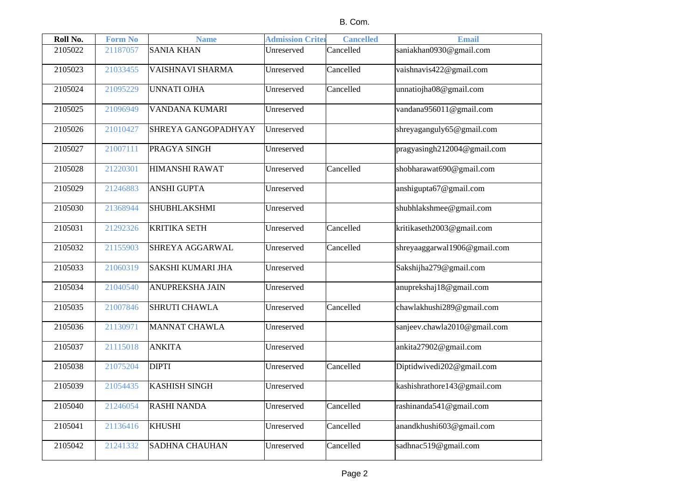| Roll No. | <b>Form No</b> | <b>Name</b>                | <b>Admission Criter</b> | <b>Cancelled</b> | <b>Email</b>                 |
|----------|----------------|----------------------------|-------------------------|------------------|------------------------------|
| 2105022  | 21187057       | <b>SANIA KHAN</b>          | Unreserved              | Cancelled        | saniakhan0930@gmail.com      |
| 2105023  | 21033455       | VAISHNAVI SHARMA           | Unreserved              | Cancelled        | vaishnavis422@gmail.com      |
| 2105024  | 21095229       | <b>UNNATI OJHA</b>         | Unreserved              | Cancelled        | unnatiojha08@gmail.com       |
| 2105025  | 21096949       | <b>VANDANA KUMARI</b>      | Unreserved              |                  | vandana956011@gmail.com      |
| 2105026  | 21010427       | <b>SHREYA GANGOPADHYAY</b> | Unreserved              |                  | shreyaganguly65@gmail.com    |
| 2105027  | 21007111       | PRAGYA SINGH               | Unreserved              |                  | pragyasingh212004@gmail.com  |
| 2105028  | 21220301       | <b>HIMANSHI RAWAT</b>      | Unreserved              | Cancelled        | shobharawat690@gmail.com     |
| 2105029  | 21246883       | <b>ANSHI GUPTA</b>         | Unreserved              |                  | anshigupta67@gmail.com       |
| 2105030  | 21368944       | <b>SHUBHLAKSHMI</b>        | Unreserved              |                  | shubhlakshmee@gmail.com      |
| 2105031  | 21292326       | <b>KRITIKA SETH</b>        | Unreserved              | Cancelled        | kritikaseth2003@gmail.com    |
| 2105032  | 21155903       | <b>SHREYA AGGARWAL</b>     | Unreserved              | Cancelled        | shreyaaggarwal1906@gmail.com |
| 2105033  | 21060319       | <b>SAKSHI KUMARI JHA</b>   | Unreserved              |                  | Sakshijha279@gmail.com       |
| 2105034  | 21040540       | <b>ANUPREKSHA JAIN</b>     | Unreserved              |                  | anuprekshaj18@gmail.com      |
| 2105035  | 21007846       | <b>SHRUTI CHAWLA</b>       | Unreserved              | Cancelled        | chawlakhushi289@gmail.com    |
| 2105036  | 21130971       | <b>MANNAT CHAWLA</b>       | Unreserved              |                  | sanjeev.chawla2010@gmail.com |
| 2105037  | 21115018       | <b>ANKITA</b>              | Unreserved              |                  | ankita27902@gmail.com        |
| 2105038  | 21075204       | <b>DIPTI</b>               | Unreserved              | Cancelled        | Diptidwivedi202@gmail.com    |
| 2105039  | 21054435       | <b>KASHISH SINGH</b>       | Unreserved              |                  | kashishrathore143@gmail.com  |
| 2105040  | 21246054       | <b>RASHI NANDA</b>         | Unreserved              | Cancelled        | rashinanda541@gmail.com      |
| 2105041  | 21136416       | <b>KHUSHI</b>              | Unreserved              | Cancelled        | anandkhushi603@gmail.com     |
| 2105042  | 21241332       | <b>SADHNA CHAUHAN</b>      | Unreserved              | Cancelled        | sadhnac519@gmail.com         |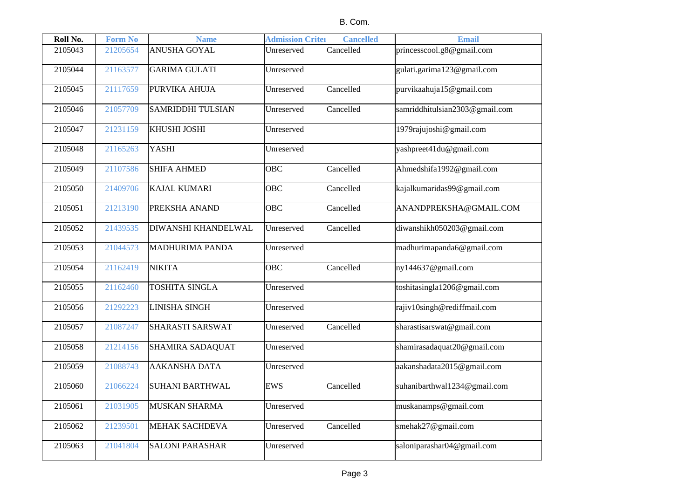| Roll No. | <b>Form No</b> | <b>Name</b>                | <b>Admission Criter</b> | <b>Cancelled</b> | <b>Email</b>                   |
|----------|----------------|----------------------------|-------------------------|------------------|--------------------------------|
| 2105043  | 21205654       | <b>ANUSHA GOYAL</b>        | Unreserved              | Cancelled        | princesscool.g8@gmail.com      |
| 2105044  | 21163577       | <b>GARIMA GULATI</b>       | Unreserved              |                  | gulati.garima123@gmail.com     |
| 2105045  | 21117659       | PURVIKA AHUJA              | Unreserved              | Cancelled        | purvikaahuja15@gmail.com       |
| 2105046  | 21057709       | <b>SAMRIDDHI TULSIAN</b>   | Unreserved              | Cancelled        | samriddhitulsian2303@gmail.com |
| 2105047  | 21231159       | KHUSHI JOSHI               | Unreserved              |                  | 1979rajujoshi@gmail.com        |
| 2105048  | 21165263       | YASHI                      | Unreserved              |                  | yashpreet41du@gmail.com        |
| 2105049  | 21107586       | <b>SHIFA AHMED</b>         | OBC                     | Cancelled        | Ahmedshifa1992@gmail.com       |
| 2105050  | 21409706       | <b>KAJAL KUMARI</b>        | OBC                     | Cancelled        | kajalkumaridas99@gmail.com     |
| 2105051  | 21213190       | PREKSHA ANAND              | <b>OBC</b>              | Cancelled        | ANANDPREKSHA@GMAIL.COM         |
| 2105052  | 21439535       | <b>DIWANSHI KHANDELWAL</b> | Unreserved              | Cancelled        | diwanshikh050203@gmail.com     |
| 2105053  | 21044573       | <b>MADHURIMA PANDA</b>     | Unreserved              |                  | madhurimapanda6@gmail.com      |
| 2105054  | 21162419       | <b>NIKITA</b>              | <b>OBC</b>              | Cancelled        | ny144637@gmail.com             |
| 2105055  | 21162460       | <b>TOSHITA SINGLA</b>      | Unreserved              |                  | toshitasingla1206@gmail.com    |
| 2105056  | 21292223       | <b>LINISHA SINGH</b>       | Unreserved              |                  | rajiv10singh@rediffmail.com    |
| 2105057  | 21087247       | <b>SHARASTI SARSWAT</b>    | Unreserved              | Cancelled        | sharastisarswat@gmail.com      |
| 2105058  | 21214156       | <b>SHAMIRA SADAQUAT</b>    | Unreserved              |                  | shamirasadaquat20@gmail.com    |
| 2105059  | 21088743       | <b>AAKANSHA DATA</b>       | Unreserved              |                  | aakanshadata2015@gmail.com     |
| 2105060  | 21066224       | <b>SUHANI BARTHWAL</b>     | <b>EWS</b>              | Cancelled        | suhanibarthwal1234@gmail.com   |
| 2105061  | 21031905       | <b>MUSKAN SHARMA</b>       | Unreserved              |                  | muskanamps@gmail.com           |
| 2105062  | 21239501       | <b>MEHAK SACHDEVA</b>      | Unreserved              | Cancelled        | smehak27@gmail.com             |
| 2105063  | 21041804       | <b>SALONI PARASHAR</b>     | Unreserved              |                  | saloniparashar04@gmail.com     |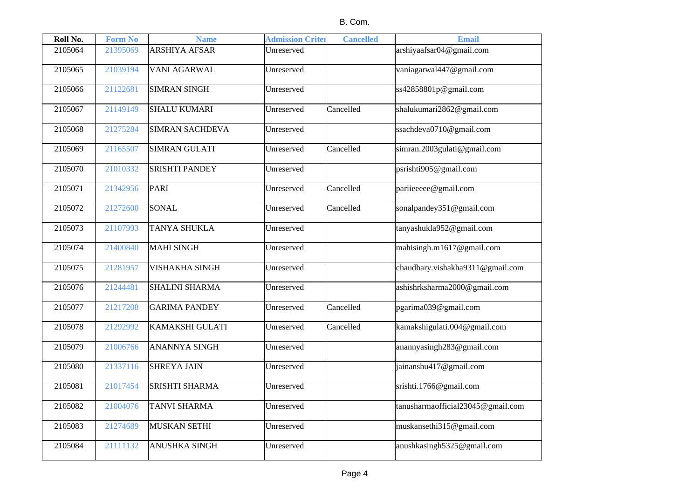| Roll No. | <b>Form No</b> | <b>Name</b>            | <b>Admission Criter</b> | <b>Cancelled</b> | <b>Email</b>                      |
|----------|----------------|------------------------|-------------------------|------------------|-----------------------------------|
| 2105064  | 21395069       | <b>ARSHIYA AFSAR</b>   | Unreserved              |                  | arshiyaafsar04@gmail.com          |
| 2105065  | 21039194       | <b>VANI AGARWAL</b>    | Unreserved              |                  | vaniagarwal447@gmail.com          |
| 2105066  | 21122681       | <b>SIMRAN SINGH</b>    | Unreserved              |                  | ss42858801p@gmail.com             |
| 2105067  | 21149149       | <b>SHALU KUMARI</b>    | Unreserved              | Cancelled        | shalukumari2862@gmail.com         |
| 2105068  | 21275284       | <b>SIMRAN SACHDEVA</b> | Unreserved              |                  | ssachdeva0710@gmail.com           |
| 2105069  | 21165507       | <b>SIMRAN GULATI</b>   | Unreserved              | Cancelled        | simran.2003gulati@gmail.com       |
| 2105070  | 21010332       | <b>SRISHTI PANDEY</b>  | Unreserved              |                  | psrishti905@gmail.com             |
| 2105071  | 21342956       | <b>PARI</b>            | Unreserved              | Cancelled        | pariieeeee@gmail.com              |
| 2105072  | 21272600       | SONAL                  | Unreserved              | Cancelled        | sonalpandey351@gmail.com          |
| 2105073  | 21107993       | <b>TANYA SHUKLA</b>    | Unreserved              |                  | tanyashukla952@gmail.com          |
| 2105074  | 21400840       | <b>MAHI SINGH</b>      | Unreserved              |                  | mahisingh.m1617@gmail.com         |
| 2105075  | 21281957       | <b>VISHAKHA SINGH</b>  | Unreserved              |                  | chaudhary.vishakha9311@gmail.com  |
| 2105076  | 21244481       | <b>SHALINI SHARMA</b>  | Unreserved              |                  | ashishrksharma2000@gmail.com      |
| 2105077  | 21217208       | <b>GARIMA PANDEY</b>   | Unreserved              | Cancelled        | pgarima039@gmail.com              |
| 2105078  | 21292992       | <b>KAMAKSHI GULATI</b> | Unreserved              | Cancelled        | kamakshigulati.004@gmail.com      |
| 2105079  | 21006766       | <b>ANANNYA SINGH</b>   | Unreserved              |                  | anannyasingh283@gmail.com         |
| 2105080  | 21337116       | <b>SHREYA JAIN</b>     | Unreserved              |                  | jainanshu417@gmail.com            |
| 2105081  | 21017454       | <b>SRISHTI SHARMA</b>  | Unreserved              |                  | srishti.1766@gmail.com            |
| 2105082  | 21004076       | <b>TANVI SHARMA</b>    | Unreserved              |                  | tanusharmaofficial23045@gmail.com |
| 2105083  | 21274689       | <b>MUSKAN SETHI</b>    | Unreserved              |                  | muskansethi315@gmail.com          |
| 2105084  | 21111132       | <b>ANUSHKA SINGH</b>   | Unreserved              |                  | anushkasingh5325@gmail.com        |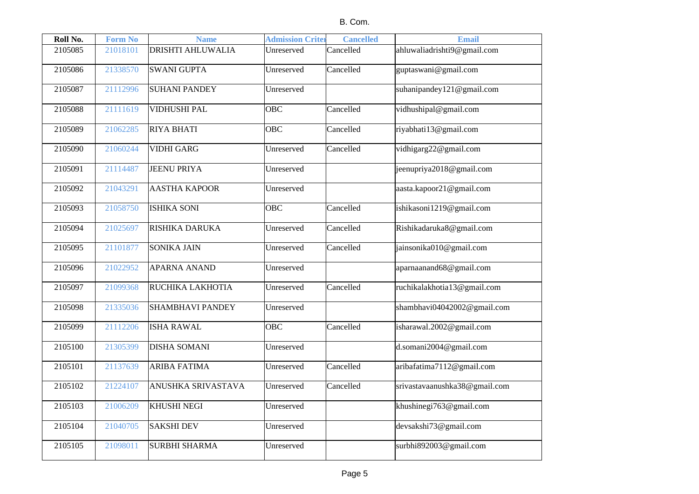| Roll No. | <b>Form No</b> | <b>Name</b>               | <b>Admission Criter</b> | <b>Cancelled</b> | <b>Email</b>                  |
|----------|----------------|---------------------------|-------------------------|------------------|-------------------------------|
| 2105085  | 21018101       | <b>DRISHTI AHLUWALIA</b>  | Unreserved              | Cancelled        | ahluwaliadrishti9@gmail.com   |
| 2105086  | 21338570       | <b>SWANI GUPTA</b>        | Unreserved              | Cancelled        | guptaswani@gmail.com          |
| 2105087  | 21112996       | <b>SUHANI PANDEY</b>      | Unreserved              |                  | suhanipandey121@gmail.com     |
| 2105088  | 21111619       | <b>VIDHUSHI PAL</b>       | OBC                     | Cancelled        | vidhushipal@gmail.com         |
| 2105089  | 21062285       | <b>RIYA BHATI</b>         | OBC                     | Cancelled        | riyabhati13@gmail.com         |
| 2105090  | 21060244       | <b>VIDHI GARG</b>         | Unreserved              | Cancelled        | vidhigarg22@gmail.com         |
| 2105091  | 21114487       | <b>JEENU PRIYA</b>        | Unreserved              |                  | jeenupriya2018@gmail.com      |
| 2105092  | 21043291       | <b>AASTHA KAPOOR</b>      | Unreserved              |                  | aasta.kapoor21@gmail.com      |
| 2105093  | 21058750       | <b>ISHIKA SONI</b>        | <b>OBC</b>              | Cancelled        | ishikasoni1219@gmail.com      |
| 2105094  | 21025697       | RISHIKA DARUKA            | Unreserved              | Cancelled        | Rishikadaruka8@gmail.com      |
| 2105095  | 21101877       | <b>SONIKA JAIN</b>        | Unreserved              | Cancelled        | jainsonika010@gmail.com       |
| 2105096  | 21022952       | <b>APARNA ANAND</b>       | Unreserved              |                  | aparnaanand68@gmail.com       |
| 2105097  | 21099368       | RUCHIKA LAKHOTIA          | Unreserved              | Cancelled        | ruchikalakhotia13@gmail.com   |
| 2105098  | 21335036       | <b>SHAMBHAVI PANDEY</b>   | Unreserved              |                  | shambhavi04042002@gmail.com   |
| 2105099  | 21112206       | <b>ISHA RAWAL</b>         | OBC                     | Cancelled        | isharawal.2002@gmail.com      |
| 2105100  | 21305399       | <b>DISHA SOMANI</b>       | Unreserved              |                  | d.somani2004@gmail.com        |
| 2105101  | 21137639       | <b>ARIBA FATIMA</b>       | Unreserved              | Cancelled        | aribafatima7112@gmail.com     |
| 2105102  | 21224107       | <b>ANUSHKA SRIVASTAVA</b> | Unreserved              | Cancelled        | srivastavaanushka38@gmail.com |
| 2105103  | 21006209       | <b>KHUSHI NEGI</b>        | Unreserved              |                  | khushinegi763@gmail.com       |
| 2105104  | 21040705       | <b>SAKSHI DEV</b>         | Unreserved              |                  | devsakshi73@gmail.com         |
| 2105105  | 21098011       | <b>SURBHI SHARMA</b>      | Unreserved              |                  | surbhi892003@gmail.com        |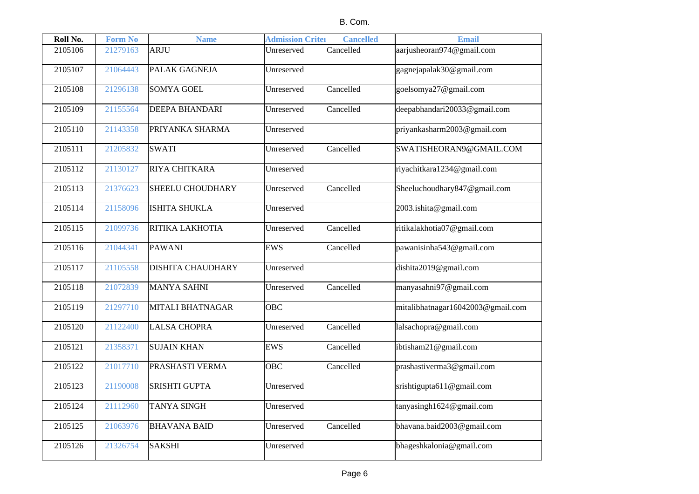| Roll No. | <b>Form No</b> | <b>Name</b>              | <b>Admission Criter</b> | <b>Cancelled</b> | <b>Email</b>                      |
|----------|----------------|--------------------------|-------------------------|------------------|-----------------------------------|
| 2105106  | 21279163       | <b>ARJU</b>              | Unreserved              | Cancelled        | aarjusheoran974@gmail.com         |
| 2105107  | 21064443       | PALAK GAGNEJA            | Unreserved              |                  | gagnejapalak30@gmail.com          |
| 2105108  | 21296138       | <b>SOMYA GOEL</b>        | Unreserved              | Cancelled        | goelsomya27@gmail.com             |
| 2105109  | 21155564       | <b>DEEPA BHANDARI</b>    | Unreserved              | Cancelled        | deepabhandari20033@gmail.com      |
| 2105110  | 21143358       | PRIYANKA SHARMA          | Unreserved              |                  | priyankasharm2003@gmail.com       |
| 2105111  | 21205832       | <b>SWATI</b>             | Unreserved              | Cancelled        | SWATISHEORAN9@GMAIL.COM           |
| 2105112  | 21130127       | RIYA CHITKARA            | Unreserved              |                  | riyachitkara1234@gmail.com        |
| 2105113  | 21376623       | <b>SHEELU CHOUDHARY</b>  | Unreserved              | Cancelled        | Sheeluchoudhary847@gmail.com      |
| 2105114  | 21158096       | <b>ISHITA SHUKLA</b>     | Unreserved              |                  | 2003.ishita@gmail.com             |
| 2105115  | 21099736       | RITIKA LAKHOTIA          | Unreserved              | Cancelled        | ritikalakhotia07@gmail.com        |
| 2105116  | 21044341       | <b>PAWANI</b>            | <b>EWS</b>              | Cancelled        | pawanisinha543@gmail.com          |
| 2105117  | 21105558       | <b>DISHITA CHAUDHARY</b> | Unreserved              |                  | dishita2019@gmail.com             |
| 2105118  | 21072839       | <b>MANYA SAHNI</b>       | Unreserved              | Cancelled        | manyasahni97@gmail.com            |
| 2105119  | 21297710       | MITALI BHATNAGAR         | <b>OBC</b>              |                  | mitalibhatnagar16042003@gmail.com |
| 2105120  | 21122400       | <b>LALSA CHOPRA</b>      | Unreserved              | Cancelled        | lalsachopra@gmail.com             |
| 2105121  | 21358371       | <b>SUJAIN KHAN</b>       | <b>EWS</b>              | Cancelled        | ibtisham21@gmail.com              |
| 2105122  | 21017710       | PRASHASTI VERMA          | <b>OBC</b>              | Cancelled        | prashastiverma3@gmail.com         |
| 2105123  | 21190008       | <b>SRISHTI GUPTA</b>     | Unreserved              |                  | srishtigupta611@gmail.com         |
| 2105124  | 21112960       | <b>TANYA SINGH</b>       | Unreserved              |                  | tanyasingh1624@gmail.com          |
| 2105125  | 21063976       | <b>BHAVANA BAID</b>      | Unreserved              | Cancelled        | bhavana.baid2003@gmail.com        |
| 2105126  | 21326754       | <b>SAKSHI</b>            | Unreserved              |                  | bhageshkalonia@gmail.com          |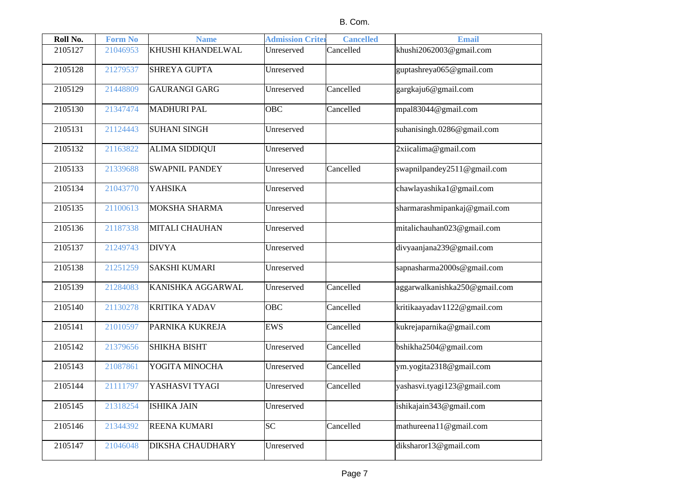| Roll No. | <b>Form No</b> | <b>Name</b>             | <b>Admission Criter</b> | <b>Cancelled</b> | <b>Email</b>                  |
|----------|----------------|-------------------------|-------------------------|------------------|-------------------------------|
| 2105127  | 21046953       | KHUSHI KHANDELWAL       | Unreserved              | Cancelled        | khushi2062003@gmail.com       |
| 2105128  | 21279537       | <b>SHREYA GUPTA</b>     | Unreserved              |                  | guptashreya065@gmail.com      |
| 2105129  | 21448809       | <b>GAURANGI GARG</b>    | Unreserved              | Cancelled        | gargkaju6@gmail.com           |
| 2105130  | 21347474       | <b>MADHURI PAL</b>      | <b>OBC</b>              | Cancelled        | mpal83044@gmail.com           |
| 2105131  | 21124443       | <b>SUHANI SINGH</b>     | Unreserved              |                  | suhanisingh.0286@gmail.com    |
| 2105132  | 21163822       | <b>ALIMA SIDDIQUI</b>   | Unreserved              |                  | 2xiicalima@gmail.com          |
| 2105133  | 21339688       | <b>SWAPNIL PANDEY</b>   | Unreserved              | Cancelled        | swapnilpandey2511@gmail.com   |
| 2105134  | 21043770       | YAHSIKA                 | Unreserved              |                  | chawlayashika1@gmail.com      |
| 2105135  | 21100613       | MOKSHA SHARMA           | Unreserved              |                  | sharmarashmipankaj@gmail.com  |
| 2105136  | 21187338       | MITALI CHAUHAN          | Unreserved              |                  | mitalichauhan023@gmail.com    |
| 2105137  | 21249743       | <b>DIVYA</b>            | Unreserved              |                  | divyaanjana239@gmail.com      |
| 2105138  | 21251259       | <b>SAKSHI KUMARI</b>    | Unreserved              |                  | sapnasharma2000s@gmail.com    |
| 2105139  | 21284083       | KANISHKA AGGARWAL       | Unreserved              | Cancelled        | aggarwalkanishka250@gmail.com |
| 2105140  | 21130278       | <b>KRITIKA YADAV</b>    | <b>OBC</b>              | Cancelled        | kritikaayadav1122@gmail.com   |
| 2105141  | 21010597       | PARNIKA KUKREJA         | <b>EWS</b>              | Cancelled        | kukrejaparnika@gmail.com      |
| 2105142  | 21379656       | <b>SHIKHA BISHT</b>     | Unreserved              | Cancelled        | bshikha2504@gmail.com         |
| 2105143  | 21087861       | YOGITA MINOCHA          | Unreserved              | Cancelled        | ym.yogita2318@gmail.com       |
| 2105144  | 21111797       | YASHASVI TYAGI          | Unreserved              | Cancelled        | yashasvi.tyagi123@gmail.com   |
| 2105145  | 21318254       | <b>ISHIKA JAIN</b>      | Unreserved              |                  | ishikajain343@gmail.com       |
| 2105146  | 21344392       | <b>REENA KUMARI</b>     | <b>SC</b>               | Cancelled        | mathureena11@gmail.com        |
| 2105147  | 21046048       | <b>DIKSHA CHAUDHARY</b> | Unreserved              |                  | diksharor13@gmail.com         |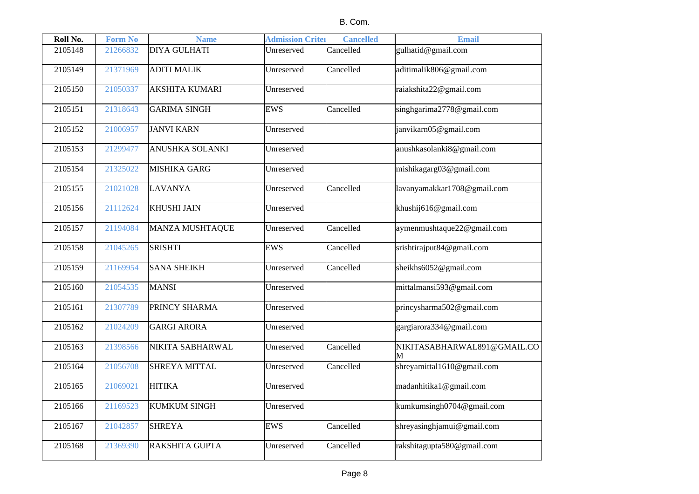| Roll No. | <b>Form No</b> | <b>Name</b>            | <b>Admission Criter</b> | <b>Cancelled</b> | <b>Email</b>                     |
|----------|----------------|------------------------|-------------------------|------------------|----------------------------------|
| 2105148  | 21266832       | <b>DIYA GULHATI</b>    | Unreserved              | Cancelled        | gulhatid@gmail.com               |
| 2105149  | 21371969       | <b>ADITI MALIK</b>     | Unreserved              | Cancelled        | aditimalik806@gmail.com          |
| 2105150  | 21050337       | <b>AKSHITA KUMARI</b>  | Unreserved              |                  | raiakshita22@gmail.com           |
| 2105151  | 21318643       | <b>GARIMA SINGH</b>    | <b>EWS</b>              | Cancelled        | singhgarima2778@gmail.com        |
| 2105152  | 21006957       | <b>JANVI KARN</b>      | Unreserved              |                  | janvikarn05@gmail.com            |
| 2105153  | 21299477       | <b>ANUSHKA SOLANKI</b> | Unreserved              |                  | anushkasolanki8@gmail.com        |
| 2105154  | 21325022       | MISHIKA GARG           | Unreserved              |                  | mishikagarg03@gmail.com          |
| 2105155  | 21021028       | <b>LAVANYA</b>         | Unreserved              | Cancelled        | lavanyamakkar1708@gmail.com      |
| 2105156  | 21112624       | KHUSHI JAIN            | Unreserved              |                  | khushij616@gmail.com             |
| 2105157  | 21194084       | MANZA MUSHTAQUE        | Unreserved              | Cancelled        | aymenmushtaque22@gmail.com       |
| 2105158  | 21045265       | <b>SRISHTI</b>         | <b>EWS</b>              | Cancelled        | srishtirajput84@gmail.com        |
| 2105159  | 21169954       | <b>SANA SHEIKH</b>     | Unreserved              | Cancelled        | sheikhs6052@gmail.com            |
| 2105160  | 21054535       | <b>MANSI</b>           | Unreserved              |                  | mittalmansi593@gmail.com         |
| 2105161  | 21307789       | PRINCY SHARMA          | Unreserved              |                  | princysharma502@gmail.com        |
| 2105162  | 21024209       | <b>GARGI ARORA</b>     | Unreserved              |                  | gargiarora334@gmail.com          |
| 2105163  | 21398566       | NIKITA SABHARWAL       | Unreserved              | Cancelled        | NIKITASABHARWAL891@GMAIL.CO<br>M |
| 2105164  | 21056708       | <b>SHREYA MITTAL</b>   | Unreserved              | Cancelled        | shreyamittal1610@gmail.com       |
| 2105165  | 21069021       | <b>HITIKA</b>          | Unreserved              |                  | madanhitika1@gmail.com           |
| 2105166  | 21169523       | <b>KUMKUM SINGH</b>    | Unreserved              |                  | kumkumsingh0704@gmail.com        |
| 2105167  | 21042857       | <b>SHREYA</b>          | <b>EWS</b>              | Cancelled        | shreyasinghjamui@gmail.com       |
| 2105168  | 21369390       | RAKSHITA GUPTA         | Unreserved              | Cancelled        | rakshitagupta580@gmail.com       |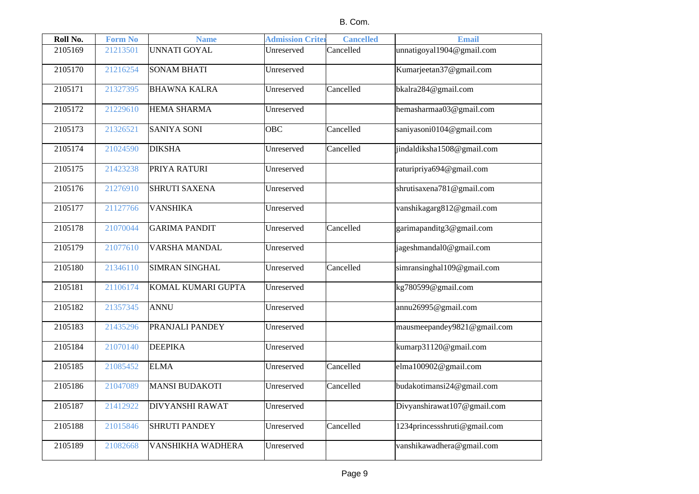| Roll No. | <b>Form No</b> | <b>Name</b>              | <b>Admission Criter</b> | <b>Cancelled</b> | <b>Email</b>                 |
|----------|----------------|--------------------------|-------------------------|------------------|------------------------------|
| 2105169  | 21213501       | <b>UNNATI GOYAL</b>      | Unreserved              | Cancelled        | unnatigoyal1904@gmail.com    |
| 2105170  | 21216254       | <b>SONAM BHATI</b>       | Unreserved              |                  | Kumarjeetan37@gmail.com      |
| 2105171  | 21327395       | <b>BHAWNA KALRA</b>      | Unreserved              | Cancelled        | bkalra284@gmail.com          |
| 2105172  | 21229610       | <b>HEMA SHARMA</b>       | Unreserved              |                  | hemasharmaa03@gmail.com      |
| 2105173  | 21326521       | <b>SANIYA SONI</b>       | <b>OBC</b>              | Cancelled        | saniyasoni0104@gmail.com     |
| 2105174  | 21024590       | <b>DIKSHA</b>            | Unreserved              | Cancelled        | jindaldiksha1508@gmail.com   |
| 2105175  | 21423238       | PRIYA RATURI             | Unreserved              |                  | raturipriya694@gmail.com     |
| 2105176  | 21276910       | <b>SHRUTI SAXENA</b>     | Unreserved              |                  | shrutisaxena781@gmail.com    |
| 2105177  | 21127766       | <b>VANSHIKA</b>          | Unreserved              |                  | vanshikagarg812@gmail.com    |
| 2105178  | 21070044       | <b>GARIMA PANDIT</b>     | Unreserved              | Cancelled        | garimapanditg3@gmail.com     |
| 2105179  | 21077610       | <b>VARSHA MANDAL</b>     | Unreserved              |                  | jageshmandal0@gmail.com      |
| 2105180  | 21346110       | <b>SIMRAN SINGHAL</b>    | Unreserved              | Cancelled        | simransinghal109@gmail.com   |
| 2105181  | 21106174       | KOMAL KUMARI GUPTA       | Unreserved              |                  | kg780599@gmail.com           |
| 2105182  | 21357345       | <b>ANNU</b>              | Unreserved              |                  | annu26995@gmail.com          |
| 2105183  | 21435296       | PRANJALI PANDEY          | Unreserved              |                  | mausmeepandey9821@gmail.com  |
| 2105184  | 21070140       | <b>DEEPIKA</b>           | Unreserved              |                  | kumarp31120@gmail.com        |
| 2105185  | 21085452       | <b>ELMA</b>              | Unreserved              | Cancelled        | elma100902@gmail.com         |
| 2105186  | 21047089       | <b>MANSI BUDAKOTI</b>    | Unreserved              | Cancelled        | budakotimansi24@gmail.com    |
| 2105187  | 21412922       | <b>DIVYANSHI RAWAT</b>   | Unreserved              |                  | Divyanshirawat107@gmail.com  |
| 2105188  | 21015846       | <b>SHRUTI PANDEY</b>     | Unreserved              | Cancelled        | 1234princessshruti@gmail.com |
| 2105189  | 21082668       | <b>VANSHIKHA WADHERA</b> | Unreserved              |                  | vanshikawadhera@gmail.com    |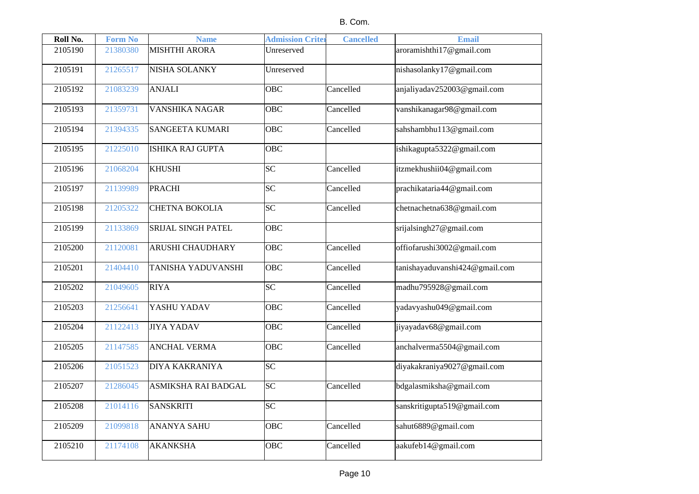| Roll No. | <b>Form No</b> | <b>Name</b>                | <b>Admission Crite:</b> | <b>Cancelled</b> | <b>Email</b>                   |
|----------|----------------|----------------------------|-------------------------|------------------|--------------------------------|
| 2105190  | 21380380       | <b>MISHTHI ARORA</b>       | Unreserved              |                  | aroramishthi17@gmail.com       |
| 2105191  | 21265517       | NISHA SOLANKY              | Unreserved              |                  | nishasolanky17@gmail.com       |
| 2105192  | 21083239       | <b>ANJALI</b>              | <b>OBC</b>              | Cancelled        | anjaliyadav252003@gmail.com    |
| 2105193  | 21359731       | <b>VANSHIKA NAGAR</b>      | OBC                     | Cancelled        | vanshikanagar98@gmail.com      |
| 2105194  | 21394335       | <b>SANGEETA KUMARI</b>     | <b>OBC</b>              | Cancelled        | sahshambhu113@gmail.com        |
| 2105195  | 21225010       | ISHIKA RAJ GUPTA           | <b>OBC</b>              |                  | ishikagupta5322@gmail.com      |
| 2105196  | 21068204       | <b>KHUSHI</b>              | $\overline{SC}$         | Cancelled        | itzmekhushii04@gmail.com       |
| 2105197  | 21139989       | <b>PRACHI</b>              | <b>SC</b>               | Cancelled        | prachikataria44@gmail.com      |
| 2105198  | 21205322       | <b>CHETNA BOKOLIA</b>      | $\overline{SC}$         | Cancelled        | chetnachetna638@gmail.com      |
| 2105199  | 21133869       | <b>SRIJAL SINGH PATEL</b>  | <b>OBC</b>              |                  | srijalsingh27@gmail.com        |
| 2105200  | 21120081       | <b>ARUSHI CHAUDHARY</b>    | OBC                     | Cancelled        | offiofarushi3002@gmail.com     |
| 2105201  | 21404410       | <b>TANISHA YADUVANSHI</b>  | <b>OBC</b>              | Cancelled        | tanishayaduvanshi424@gmail.com |
| 2105202  | 21049605       | <b>RIYA</b>                | SC                      | Cancelled        | madhu795928@gmail.com          |
| 2105203  | 21256641       | YASHU YADAV                | <b>OBC</b>              | Cancelled        | yadavyashu049@gmail.com        |
| 2105204  | 21122413       | <b>JIYA YADAV</b>          | <b>OBC</b>              | Cancelled        | jiyayadav68@gmail.com          |
| 2105205  | 21147585       | <b>ANCHAL VERMA</b>        | <b>OBC</b>              | Cancelled        | anchalverma5504@gmail.com      |
| 2105206  | 21051523       | <b>DIYA KAKRANIYA</b>      | SC                      |                  | diyakakraniya9027@gmail.com    |
| 2105207  | 21286045       | <b>ASMIKSHA RAI BADGAL</b> | <b>SC</b>               | Cancelled        | bdgalasmiksha@gmail.com        |
| 2105208  | 21014116       | <b>SANSKRITI</b>           | SC                      |                  | sanskritigupta519@gmail.com    |
| 2105209  | 21099818       | <b>ANANYA SAHU</b>         | <b>OBC</b>              | Cancelled        | sahut6889@gmail.com            |
| 2105210  | 21174108       | <b>AKANKSHA</b>            | <b>OBC</b>              | Cancelled        | aakufeb14@gmail.com            |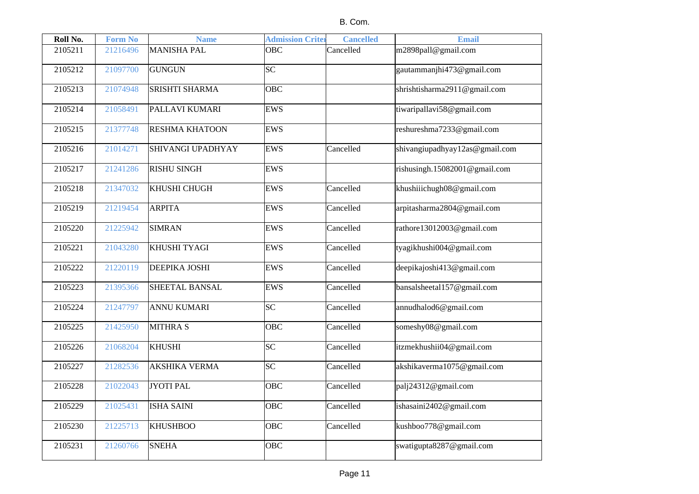| Roll No. | <b>Form No</b> | <b>Name</b>              | <b>Admission Criter</b> | <b>Cancelled</b> | <b>Email</b>                   |
|----------|----------------|--------------------------|-------------------------|------------------|--------------------------------|
| 2105211  | 21216496       | <b>MANISHA PAL</b>       | <b>OBC</b>              | Cancelled        | m2898pall@gmail.com            |
| 2105212  | 21097700       | <b>GUNGUN</b>            | $\overline{\text{SC}}$  |                  | gautammanjhi473@gmail.com      |
| 2105213  | 21074948       | <b>SRISHTI SHARMA</b>    | OBC                     |                  | shrishtisharma2911@gmail.com   |
| 2105214  | 21058491       | PALLAVI KUMARI           | <b>EWS</b>              |                  | tiwaripallavi58@gmail.com      |
| 2105215  | 21377748       | <b>RESHMA KHATOON</b>    | EWS                     |                  | reshureshma7233@gmail.com      |
| 2105216  | 21014271       | <b>SHIVANGI UPADHYAY</b> | <b>EWS</b>              | Cancelled        | shivangiupadhyay12as@gmail.com |
| 2105217  | 21241286       | <b>RISHU SINGH</b>       | <b>EWS</b>              |                  | rishusingh.15082001@gmail.com  |
| 2105218  | 21347032       | KHUSHI CHUGH             | <b>EWS</b>              | Cancelled        | khushiiichugh08@gmail.com      |
| 2105219  | 21219454       | <b>ARPITA</b>            | <b>EWS</b>              | Cancelled        | arpitasharma2804@gmail.com     |
| 2105220  | 21225942       | <b>SIMRAN</b>            | <b>EWS</b>              | Cancelled        | rathore13012003@gmail.com      |
| 2105221  | 21043280       | KHUSHI TYAGI             | <b>EWS</b>              | Cancelled        | tyagikhushi004@gmail.com       |
| 2105222  | 21220119       | <b>DEEPIKA JOSHI</b>     | <b>EWS</b>              | Cancelled        | deepikajoshi413@gmail.com      |
| 2105223  | 21395366       | <b>SHEETAL BANSAL</b>    | <b>EWS</b>              | Cancelled        | bansalsheetal157@gmail.com     |
| 2105224  | 21247797       | <b>ANNU KUMARI</b>       | <b>SC</b>               | Cancelled        | annudhalod6@gmail.com          |
| 2105225  | 21425950       | <b>MITHRA S</b>          | <b>OBC</b>              | Cancelled        | someshy08@gmail.com            |
| 2105226  | 21068204       | <b>KHUSHI</b>            | SC                      | Cancelled        | itzmekhushii04@gmail.com       |
| 2105227  | 21282536       | <b>AKSHIKA VERMA</b>     | $\overline{SC}$         | Cancelled        | akshikaverma1075@gmail.com     |
| 2105228  | 21022043       | <b>JYOTI PAL</b>         | OBC                     | Cancelled        | palj24312@gmail.com            |
| 2105229  | 21025431       | <b>ISHA SAINI</b>        | OBC                     | Cancelled        | ishasaini2402@gmail.com        |
| 2105230  | 21225713       | <b>KHUSHBOO</b>          | OBC                     | Cancelled        | kushboo778@gmail.com           |
| 2105231  | 21260766       | <b>SNEHA</b>             | OBC                     |                  | swatigupta8287@gmail.com       |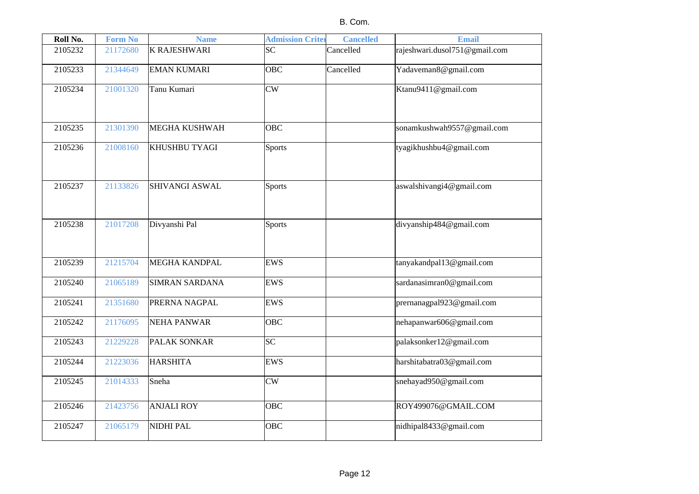| Roll No. | <b>Form No</b> | <b>Name</b>           | <b>Admission Criter</b> | <b>Cancelled</b> | <b>Email</b>                  |
|----------|----------------|-----------------------|-------------------------|------------------|-------------------------------|
| 2105232  | 21172680       | <b>K RAJESHWARI</b>   | <b>SC</b>               | Cancelled        | rajeshwari.dusol751@gmail.com |
| 2105233  | 21344649       | <b>EMAN KUMARI</b>    | <b>OBC</b>              | Cancelled        | Yadaveman8@gmail.com          |
| 2105234  | 21001320       | Tanu Kumari           | CW                      |                  | Ktanu9411@gmail.com           |
| 2105235  | 21301390       | <b>MEGHA KUSHWAH</b>  | <b>OBC</b>              |                  | sonamkushwah9557@gmail.com    |
| 2105236  | 21008160       | <b>KHUSHBU TYAGI</b>  | <b>Sports</b>           |                  | tyagikhushbu4@gmail.com       |
| 2105237  | 21133826       | <b>SHIVANGI ASWAL</b> | <b>Sports</b>           |                  | aswalshivangi4@gmail.com      |
| 2105238  | 21017208       | Divyanshi Pal         | <b>Sports</b>           |                  | divyanship484@gmail.com       |
| 2105239  | 21215704       | <b>MEGHA KANDPAL</b>  | <b>EWS</b>              |                  | tanyakandpal13@gmail.com      |
| 2105240  | 21065189       | <b>SIMRAN SARDANA</b> | <b>EWS</b>              |                  | sardanasimran0@gmail.com      |
| 2105241  | 21351680       | PRERNA NAGPAL         | EWS                     |                  | prernanagpal923@gmail.com     |
| 2105242  | 21176095       | NEHA PANWAR           | <b>OBC</b>              |                  | nehapanwar606@gmail.com       |
| 2105243  | 21229228       | <b>PALAK SONKAR</b>   | SC                      |                  | palaksonker12@gmail.com       |
| 2105244  | 21223036       | <b>HARSHITA</b>       | <b>EWS</b>              |                  | harshitabatra03@gmail.com     |
| 2105245  | 21014333       | Sneha                 | CW                      |                  | snehayad950@gmail.com         |
| 2105246  | 21423756       | <b>ANJALI ROY</b>     | <b>OBC</b>              |                  | ROY499076@GMAIL.COM           |
| 2105247  | 21065179       | NIDHI PAL             | <b>OBC</b>              |                  | nidhipal8433@gmail.com        |